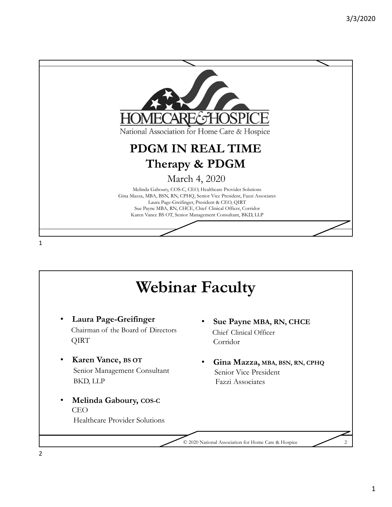

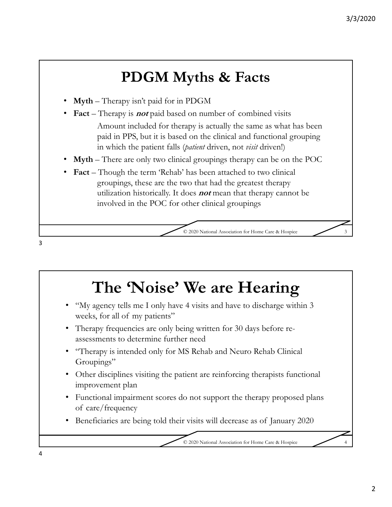## **PDGM Myths & Facts**

- **Myth** Therapy isn't paid for in PDGM
	- **Fact**  Therapy is **not** paid based on number of combined visits Amount included for therapy is actually the same as what has been paid in PPS, but it is based on the clinical and functional grouping in which the patient falls (*patient* driven, not *visit* driven!)
- **Myth** There are only two clinical groupings therapy can be on the POC
- **Fact** Though the term 'Rehab' has been attached to two clinical groupings, these are the two that had the greatest therapy utilization historically. It does **not** mean that therapy cannot be involved in the POC for other clinical groupings

© 2020 National Association for Home Care & Hospice 3

# **The 'Noise' We are Hearing**

- "My agency tells me I only have 4 visits and have to discharge within 3 weeks, for all of my patients"
- Therapy frequencies are only being written for 30 days before reassessments to determine further need
- "Therapy is intended only for MS Rehab and Neuro Rehab Clinical Groupings"
- Other disciplines visiting the patient are reinforcing therapists functional improvement plan
- Functional impairment scores do not support the therapy proposed plans of care/frequency
- Beneficiaries are being told their visits will decrease as of January 2020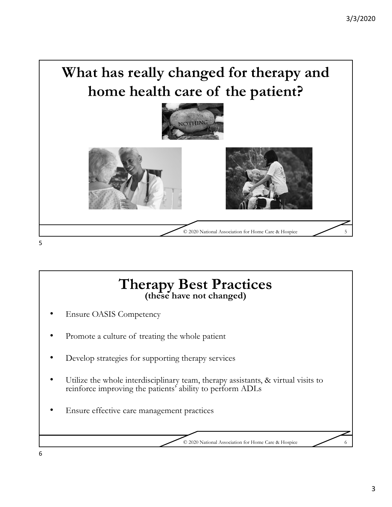



- Ensure OASIS Competency
- Promote a culture of treating the whole patient
- Develop strategies for supporting therapy services
- Utilize the whole interdisciplinary team, therapy assistants, & virtual visits to reinforce improving the patients' ability to perform ADLs
- Ensure effective care management practices

© 2020 National Association for Home Care & Hospice 6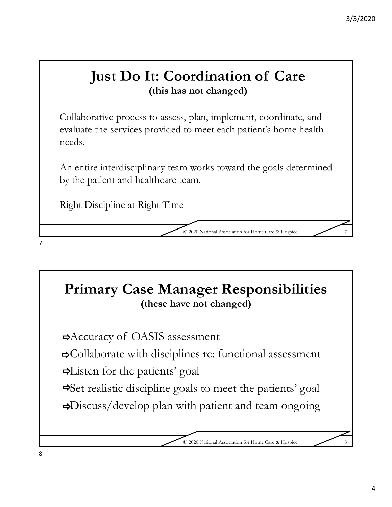#### **Just Do It: Coordination of Care (this has not changed)**

Collaborative process to assess, plan, implement, coordinate, and evaluate the services provided to meet each patient's home health needs.

An entire interdisciplinary team works toward the goals determined by the patient and healthcare team.

Right Discipline at Right Time

© 2020 National Association for Home Care & Hospice 7

#### **Primary Case Manager Responsibilities (these have not changed)**

Accuracy of OASIS assessment

Collaborate with disciplines re: functional assessment

Listen for the patients' goal

Set realistic discipline goals to meet the patients' goal Discuss/develop plan with patient and team ongoing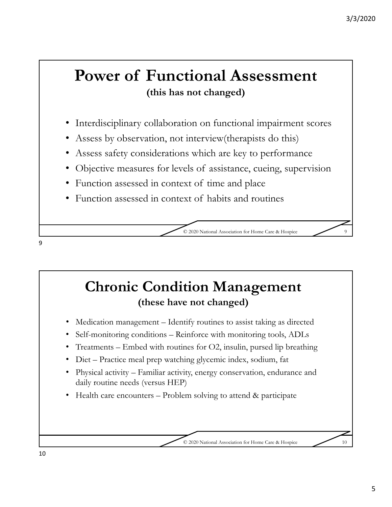## **Power of Functional Assessment (this has not changed)**

- Interdisciplinary collaboration on functional impairment scores
- Assess by observation, not interview (therapists do this)
- Assess safety considerations which are key to performance
- Objective measures for levels of assistance, cueing, supervision
- Function assessed in context of time and place
- Function assessed in context of habits and routines

© 2020 National Association for Home Care & Hospice 9

#### **Chronic Condition Management (these have not changed)**

- Medication management Identify routines to assist taking as directed
- Self-monitoring conditions Reinforce with monitoring tools, ADLs
- Treatments Embed with routines for  $O2$ , insulin, pursed lip breathing
- Diet Practice meal prep watching glycemic index, sodium, fat
- Physical activity Familiar activity, energy conservation, endurance and daily routine needs (versus HEP)
- Health care encounters Problem solving to attend & participate

© 2020 National Association for Home Care & Hospice 10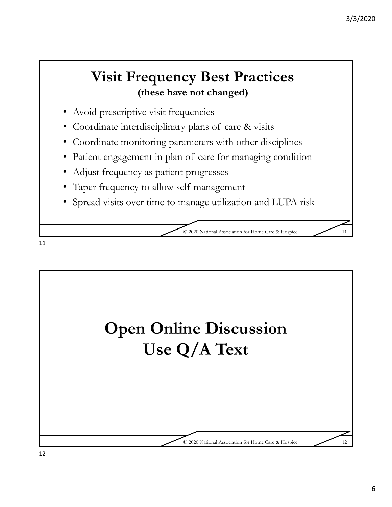### **Visit Frequency Best Practices (these have not changed)**

- Avoid prescriptive visit frequencies
- Coordinate interdisciplinary plans of care & visits
- Coordinate monitoring parameters with other disciplines
- Patient engagement in plan of care for managing condition
- Adjust frequency as patient progresses
- Taper frequency to allow self-management
- Spread visits over time to manage utilization and LUPA risk

© 2020 National Association for Home Care & Hospice 11

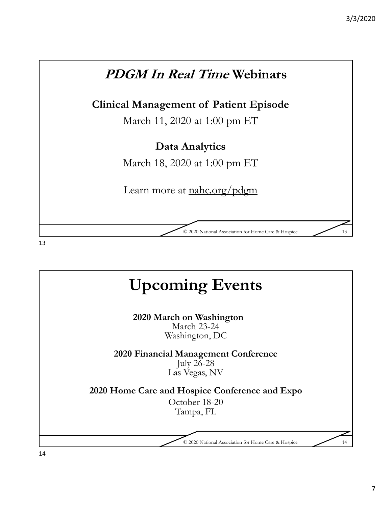